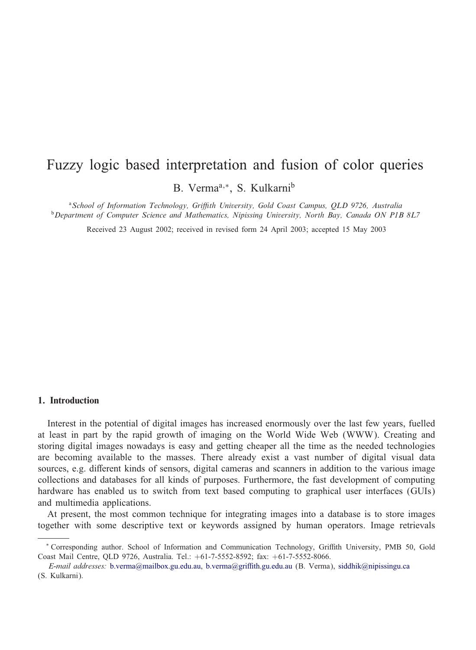# Fuzzy logic based interpretation and fusion of color queries

B. Verma<sup>a,∗</sup>, S. Kulkarni<sup>b</sup>

<sup>a</sup> School of Information Technology, Griffith University, Gold Coast Campus, OLD 9726, Australia <sup>b</sup>*Department of Computer Science and Mathematics, Nipissing University, North Bay, Canada ON P1B 8L7*

Received 23 August 2002; received in revised form 24 April 2003; accepted 15 May 2003

## 1. Introduction

Interest in the potential of digital images has increased enormously over the last few years, fuelled at least in part by the rapid growth of imaging on the World Wide Web (WWW). Creating and storing digital images nowadays is easy and getting cheaper all the time as the needed technologies are becoming available to the masses. There already exist a vast number of digital visual data sources, e.g. different kinds of sensors, digital cameras and scanners in addition to the various image collections and databases for all kinds of purposes. Furthermore, the fast development of computing hardware has enabled us to switch from text based computing to graphical user interfaces (GUIs) and multimedia applications.

At present, the most common technique for integrating images into a database is to store images together with some descriptive text or keywords assigned by human operators. Image retrievals

<sup>∗</sup> Corresponding author. School ofInformation and Communication Technology, Grith University, PMB 50, Gold Coast Mail Centre, QLD 9726, Australia. Tel.: +61-7-5552-8592; fax: +61-7-5552-8066.

*E-mail addresses:* b.verma@mailbox.gu.edu.au, b.verma@grith.gu.edu.au (B. Verma), siddhik@nipissingu.ca (S. Kulkarni).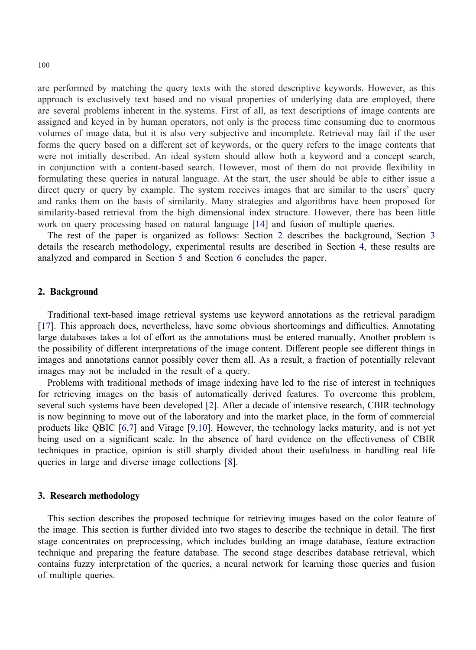are performed by matching the query texts with the stored descriptive keywords. However, as this approach is exclusively text based and no visual properties of underlying data are employed, there are several problems inherent in the systems. First of all, as text descriptions of image contents are assigned and keyed in by human operators, not only is the process time consuming due to enormous volumes of image data, but it is also very subjective and incomplete. Retrieval may fail if the user forms the query based on a different set of keywords, or the query refers to the image contents that were not initially described. An ideal system should allow both a keyword and a concept search, in conjunction with a content-based search. However, most of them do not provide flexibility in formulating these queries in natural language. At the start, the user should be able to either issue a direct query or query by example. The system receives images that are similar to the users' query and ranks them on the basis of similarity. Many strategies and algorithms have been proposed for similarity-based retrieval from the high dimensional index structure. However, there has been little work on query processing based on natural language [14] and fusion of multiple queries.

The rest of the paper is organized as follows: Section 2 describes the background, Section 3 details the research methodology, experimental results are described in Section 4, these results are analyzed and compared in Section 5 and Section 6 concludes the paper.

## 2. Background

Traditional text-based image retrieval systems use keyword annotations as the retrieval paradigm [17]. This approach does, nevertheless, have some obvious shortcomings and difficulties. Annotating large databases takes a lot of effort as the annotations must be entered manually. Another problem is the possibility of different interpretations of the image content. Different people see different things in images and annotations cannot possibly cover them all. As a result, a fraction of potentially relevant images may not be included in the result of a query.

Problems with traditional methods of image indexing have led to the rise of interest in techniques for retrieving images on the basis of automatically derived features. To overcome this problem, several such systems have been developed [2]. After a decade of intensive research, CBIR technology is now beginning to move out of the laboratory and into the market place, in the form of commercial products like QBIC [6,7] and Virage [9,10]. However, the technology lacks maturity, and is not yet being used on a significant scale. In the absence of hard evidence on the effectiveness of CBIR techniques in practice, opinion is still sharply divided about their usefulness in handling real life queries in large and diverse image collections [8].

## 3. Research methodology

This section describes the proposed technique for retrieving images based on the color feature of the image. This section is further divided into two stages to describe the technique in detail. The first stage concentrates on preprocessing, which includes building an image database, feature extraction technique and preparing the feature database. The second stage describes database retrieval, which contains fuzzy interpretation of the queries, a neural network for learning those queries and fusion of multiple queries.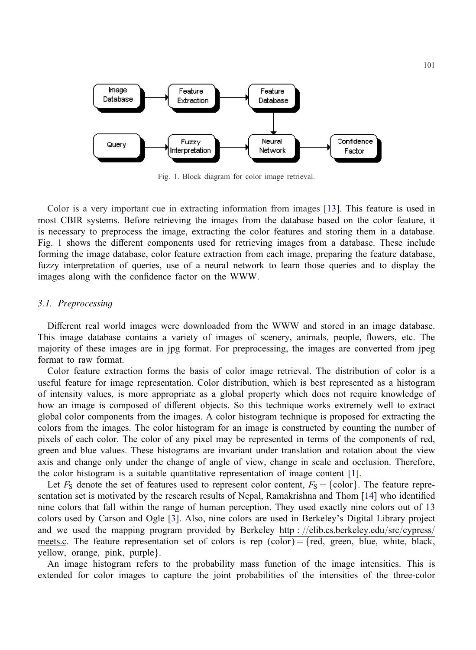

Fig. 1. Block diagram for color image retrieval.

Color is a very important cue in extracting information from images [13]. This feature is used in most CBIR systems. Before retrieving the images from the database based on the color feature, it is necessary to preprocess the image, extracting the color features and storing them in a database. Fig. 1 shows the different components used for retrieving images from a database. These include forming the image database, color feature extraction from each image, preparing the feature database, fuzzy interpretation of queries, use of a neural network to learn those queries and to display the images along with the confidence factor on the WWW.

#### *3.1. Preprocessing*

Different real world images were downloaded from the WWW and stored in an image database. This image database contains a variety of images of scenery, animals, people, flowers, etc. The majority of these images are in jpg format. For preprocessing, the images are converted from jpeg format to raw format.

Color feature extraction forms the basis of color image retrieval. The distribution of color is a useful feature for image representation. Color distribution, which is best represented as a histogram ofintensity values, is more appropriate as a global property which does not require knowledge of how an image is composed of different objects. So this technique works extremely well to extract global color components from the images. A color histogram technique is proposed for extracting the colors from the images. The color histogram for an image is constructed by counting the number of pixels of each color. The color of any pixel may be represented in terms of the components of red, green and blue values. These histograms are invariant under translation and rotation about the view axis and change only under the change of angle of view, change in scale and occlusion. Therefore, the color histogram is a suitable quantitative representation of image content  $[1]$ .

Let  $F_S$  denote the set of features used to represent color content,  $F_S = \{\text{color}\}\}\$ . The feature representation set is motivated by the research results of Nepal, Ramakrishna and Thom [14] who identified nine colors that fall within the range of human perception. They used exactly nine colors out of 13 colors used by Carson and Ogle [3]. Also, nine colors are used in Berkeley's Digital Library project and we used the mapping program provided by Berkeley http :  $/$ elib.cs.berkeley.edu $/$ src $/$ cypress $/$ meets.c. The feature representation set of colors is rep (color) = {red, green, blue, white, black, yellow, orange, pink, purple.

An image histogram refers to the probability mass function of the image intensities. This is extended for color images to capture the joint probabilities of the intensities of the three-color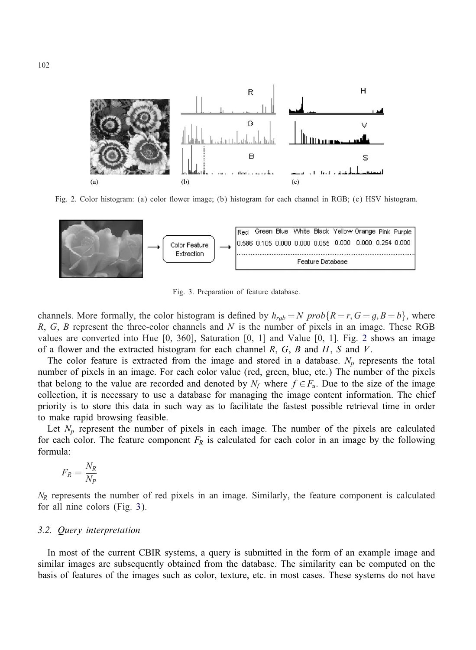

Fig. 2. Color histogram: (a) color flower image; (b) histogram for each channel in RGB; (c) HSV histogram.



Fig. 3. Preparation of feature database.

channels. More formally, the color histogram is defined by  $h_{rgb} = N \; prob\{R = r, G = g, B = b\}$ , where  $R, G, B$  represent the three-color channels and N is the number of pixels in an image. These RGB values are converted into Hue  $[0, 360]$ , Saturation  $[0, 1]$  and Value  $[0, 1]$ . Fig. 2 shows an image of a flower and the extracted histogram for each channel R, G, B and H, S and V.

The color feature is extracted from the image and stored in a database.  $N_p$  represents the total number of pixels in an image. For each color value (red, green, blue, etc.) The number of the pixels that belong to the value are recorded and denoted by  $N_f$  where  $f \in F_u$ . Due to the size of the image collection, it is necessary to use a database for managing the image content information. The chief priority is to store this data in such way as to facilitate the fastest possible retrieval time in order to make rapid browsing feasible.

Let  $N_p$  represent the number of pixels in each image. The number of the pixels are calculated for each color. The feature component  $F_R$  is calculated for each color in an image by the following formula:

$$
F_R = \frac{N_R}{N_P}
$$

 $N_R$  represents the number of red pixels in an image. Similarly, the feature component is calculated for all nine colors (Fig. 3).

#### *3.2. Query interpretation*

In most of the current CBIR systems, a query is submitted in the form of an example image and similar images are subsequently obtained from the database. The similarity can be computed on the basis of features of the images such as color, texture, etc. in most cases. These systems do not have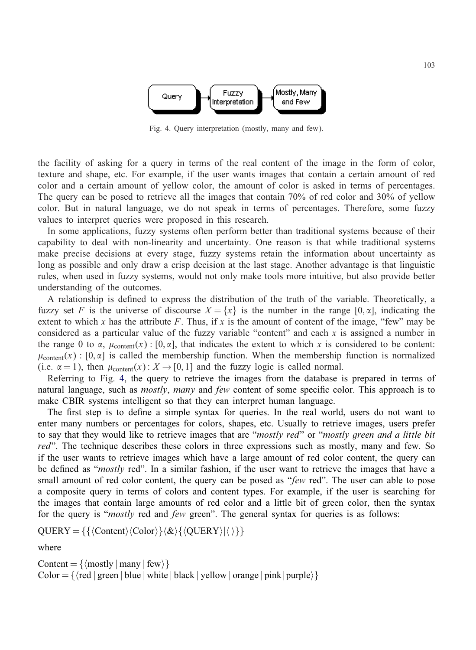

Fig. 4. Query interpretation (mostly, many and few).

the facility of asking for a query in terms of the real content of the image in the form of color, texture and shape, etc. For example, if the user wants images that contain a certain amount of red color and a certain amount of yellow color, the amount of color is asked in terms of percentages. The query can be posed to retrieve all the images that contain  $70\%$  of red color and  $30\%$  of yellow color. But in natural language, we do not speak in terms of percentages. Therefore, some fuzzy values to interpret queries were proposed in this research.

In some applications, fuzzy systems often perform better than traditional systems because of their capability to deal with non-linearity and uncertainty. One reason is that while traditional systems make precise decisions at every stage, fuzzy systems retain the information about uncertainty as long as possible and only draw a crisp decision at the last stage. Another advantage is that linguistic rules, when used in fuzzy systems, would not only make tools more intuitive, but also provide better understanding of the outcomes.

A relationship is defined to express the distribution of the truth of the variable. Theoretically, a fuzzy set F is the universe of discourse  $X = \{x\}$  is the number in the range  $[0, \alpha]$ , indicating the extent to which x has the attribute F. Thus, if x is the amount of content of the image, "few" may be considered as a particular value of the fuzzy variable "content" and each  $x$  is assigned a number in the range 0 to  $\alpha$ ,  $\mu_{\text{content}}(x)$ : [0,  $\alpha$ ], that indicates the extent to which x is considered to be content:  $\mu_{\text{content}}(x)$ : [0,  $\alpha$ ] is called the membership function. When the membership function is normalized (i.e.  $\alpha = 1$ ), then  $\mu_{\text{content}}(x) : X \rightarrow [0, 1]$  and the fuzzy logic is called normal.

Referring to Fig. 4, the query to retrieve the images from the database is prepared in terms of natural language, such as *mostly, many* and *few* content of some specific color. This approach is to make CBIR systems intelligent so that they can interpret human language.

The first step is to define a simple syntax for queries. In the real world, users do not want to enter many numbers or percentages for colors, shapes, etc. Usually to retrieve images, users prefer to say that they would like to retrieve images that are "*mostly red*" or "*mostly green and a little bit red*". The technique describes these colors in three expressions such as mostly, many and few. So if the user wants to retrieve images which have a large amount of red color content, the query can be dened as "*mostly* red". In a similar fashion, if the user want to retrieve the images that have a small amount of red color content, the query can be posed as "*few* red". The user can able to pose a composite query in terms of colors and content types. For example, if the user is searching for the images that contain large amounts of red color and a little bit of green color, then the syntax for the query is "*mostly* red and *few* green". The general syntax for queries is as follows:

 $QUERY = \{\{\langle Content \rangle \langle Color \rangle\}\langle \&\rangle \{\langle QUERY \rangle\}|\langle \rangle\}\}$ 

where

Content =  $\{\langle \text{mostly} | \text{ many} | \text{few} \rangle \}$  $Color = \{ \langle red \mid green \mid blue \mid white \mid black \mid yellow \mid orange \mid pink \mid purple \rangle \}$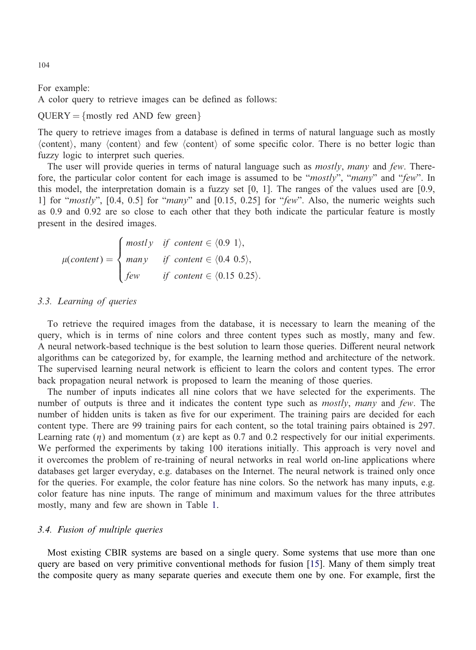For example:

A color query to retrieve images can be defined as follows:

 $OUERN = \{mostly red AND few green\}$ 

The query to retrieve images from a database is defined in terms of natural language such as mostly  $\langle$  content), many  $\langle$  content $\rangle$  and few  $\langle$  content $\rangle$  of some specific color. There is no better logic than fuzzy logic to interpret such queries.

The user will provide queries in terms of natural language such as *mostly*, *many* and *few*. Therefore, the particular color content for each image is assumed to be "*mostly*", "*many*" and "*few*". In this model, the interpretation domain is a fuzzy set  $[0, 1]$ . The ranges of the values used are  $[0.9, 1]$ 1] for "*mostly*", [0.4, 0.5] for "*many*" and [0.15, 0.25] for "*few*". Also, the numeric weights such as 0.9 and 0.92 are so close to each other that they both indicate the particular feature is mostly present in the desired images.

$$
\mu(content) = \begin{cases}\nmostly & \text{if content} \in \langle 0.9 \ 1 \rangle, \\
many & \text{if content} \in \langle 0.4 \ 0.5 \rangle, \\
few & \text{if content} \in \langle 0.15 \ 0.25 \rangle.\n\end{cases}
$$

# *3.3. Learning of queries*

To retrieve the required images from the database, it is necessary to learn the meaning of the query, which is in terms of nine colors and three content types such as mostly, many and few. A neural network-based technique is the best solution to learn those queries. Different neural network algorithms can be categorized by, for example, the learning method and architecture of the network. The supervised learning neural network is efficient to learn the colors and content types. The error back propagation neural network is proposed to learn the meaning of those queries.

The number of inputs indicates all nine colors that we have selected for the experiments. The number of outputs is three and it indicates the content type such as *mostly*, *many* and *few*. The number of hidden units is taken as five for our experiment. The training pairs are decided for each content type. There are 99 training pairs for each content, so the total training pairs obtained is 297. Learning rate  $(\eta)$  and momentum  $(\alpha)$  are kept as 0.7 and 0.2 respectively for our initial experiments. We performed the experiments by taking 100 iterations initially. This approach is very novel and it overcomes the problem of re-training of neural networks in real world on-line applications where databases get larger everyday, e.g. databases on the Internet. The neural network is trained only once for the queries. For example, the color feature has nine colors. So the network has many inputs, e.g. color feature has nine inputs. The range of minimum and maximum values for the three attributes mostly, many and few are shown in Table 1.

## *3.4. Fusion of multiple queries*

Most existing CBIR systems are based on a single query. Some systems that use more than one query are based on very primitive conventional methods for fusion  $[15]$ . Many of them simply treat the composite query as many separate queries and execute them one by one. For example, first the

104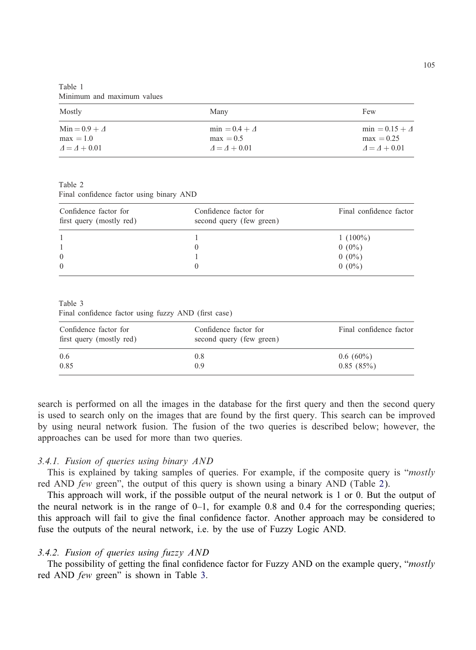Table 1 Minimum and maximum values

| Mostly               | Many                 | Few                   |
|----------------------|----------------------|-----------------------|
| $Min = 0.9 + \Delta$ | $min = 0.4 + \Delta$ | $min = 0.15 + \Delta$ |
| $max = 1.0$          | $max = 0.5$          | $max = 0.25$          |
| $A = A + 0.01$       | $A = A + 0.01$       | $A = A + 0.01$        |

Table 2 Final confidence factor using binary AND

| Confidence factor for<br>first query (mostly red) | Confidence factor for<br>second query (few green) | Final confidence factor |  |
|---------------------------------------------------|---------------------------------------------------|-------------------------|--|
|                                                   |                                                   | $1(100\%)$              |  |
|                                                   |                                                   | $0(0\%)$                |  |
| $\overline{0}$                                    |                                                   | $0(0\%)$                |  |
| $\Omega$                                          |                                                   | $0(0\%)$                |  |

Table 3 Final confidence factor using fuzzy AND (first case)

| Confidence factor for<br>first query (mostly red) | Confidence factor for<br>second query (few green) | Final confidence factor |
|---------------------------------------------------|---------------------------------------------------|-------------------------|
| 0.6                                               | 0.8                                               | $0.6(60\%)$             |
| 0.85                                              | 0.9                                               | 0.85(85%)               |

search is performed on all the images in the database for the first query and then the second query is used to search only on the images that are found by the first query. This search can be improved by using neural network fusion. The fusion of the two queries is described below; however, the approaches can be used for more than two queries.

## *3.4.1. Fusion of queries using binary AND*

This is explained by taking samples of queries. For example, if the composite query is "*mostly* red AND *few* green", the output of this query is shown using a binary AND (Table 2).

This approach will work, if the possible output of the neural network is 1 or 0. But the output of the neural network is in the range of  $0-1$ , for example 0.8 and 0.4 for the corresponding queries; this approach will fail to give the final confidence factor. Another approach may be considered to fuse the outputs of the neural network, i.e. by the use of Fuzzy Logic AND.

## *3.4.2. Fusion of queries using fuzzy AND*

The possibility of getting the final confidence factor for Fuzzy AND on the example query, "*mostly* red AND *few* green" is shown in Table 3.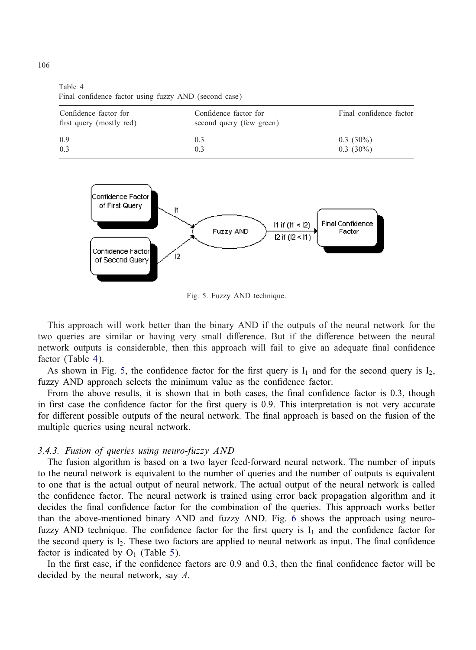| Confidence factor for<br>first query (mostly red) | Confidence factor for<br>second query (few green) | Final confidence factor |
|---------------------------------------------------|---------------------------------------------------|-------------------------|
| 0.9                                               | 0.3                                               | $0.3(30\%)$             |
| 0.3                                               | 0.3                                               | $0.3(30\%)$             |

Table 4 Final confidence factor using fuzzy AND (second case)



Fig. 5. Fuzzy AND technique.

This approach will work better than the binary AND if the outputs of the neural network for the two queries are similar or having very small difference. But if the difference between the neural network outputs is considerable, then this approach will fail to give an adequate final confidence factor (Table 4).

As shown in Fig. 5, the confidence factor for the first query is  $I_1$  and for the second query is  $I_2$ , fuzzy AND approach selects the minimum value as the confidence factor.

From the above results, it is shown that in both cases, the final confidence factor is 0.3, though in first case the confidence factor for the first query is 0.9. This interpretation is not very accurate for different possible outputs of the neural network. The final approach is based on the fusion of the multiple queries using neural network.

#### *3.4.3. Fusion of queries using neuro-fuzzy AND*

The fusion algorithm is based on a two layer feed-forward neural network. The number of inputs to the neural network is equivalent to the number of queries and the number of outputs is equivalent to one that is the actual output of neural network. The actual output of the neural network is called the condence factor. The neural network is trained using error back propagation algorithm and it decides the final confidence factor for the combination of the queries. This approach works better than the above-mentioned binary AND and fuzzy AND. Fig. 6 shows the approach using neurofuzzy AND technique. The confidence factor for the first query is  $I_1$  and the confidence factor for the second query is  $I_2$ . These two factors are applied to neural network as input. The final confidence factor is indicated by  $O_1$  (Table 5).

In the first case, if the confidence factors are  $0.9$  and  $0.3$ , then the final confidence factor will be decided by the neural network, say A.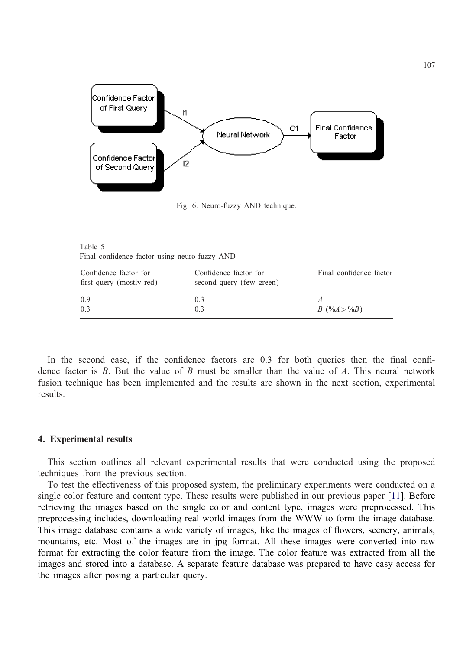

Fig. 6. Neuro-fuzzy AND technique.

Table 5 Final confidence factor using neuro-fuzzy AND

| Confidence factor for<br>first query (mostly red) | Confidence factor for<br>second query (few green) | Final confidence factor      |
|---------------------------------------------------|---------------------------------------------------|------------------------------|
| 0.9<br>0.3                                        | 0.3<br>0.3                                        | $B(^{0}\!\%A\!>\!^{0}\!\%B)$ |

In the second case, if the confidence factors are  $0.3$  for both queries then the final confidence factor is B. But the value of B must be smaller than the value of A. This neural network fusion technique has been implemented and the results are shown in the next section, experimental results.

## 4. Experimental results

This section outlines all relevant experimental results that were conducted using the proposed techniques from the previous section.

To test the effectiveness of this proposed system, the preliminary experiments were conducted on a single color feature and content type. These results were published in our previous paper [11]. Before retrieving the images based on the single color and content type, images were preprocessed. This preprocessing includes, downloading real world images from the WWW to form the image database. This image database contains a wide variety of images, like the images of flowers, scenery, animals, mountains, etc. Most of the images are in jpg format. All these images were converted into raw format for extracting the color feature from the image. The color feature was extracted from all the images and stored into a database. A separate feature database was prepared to have easy access for the images after posing a particular query.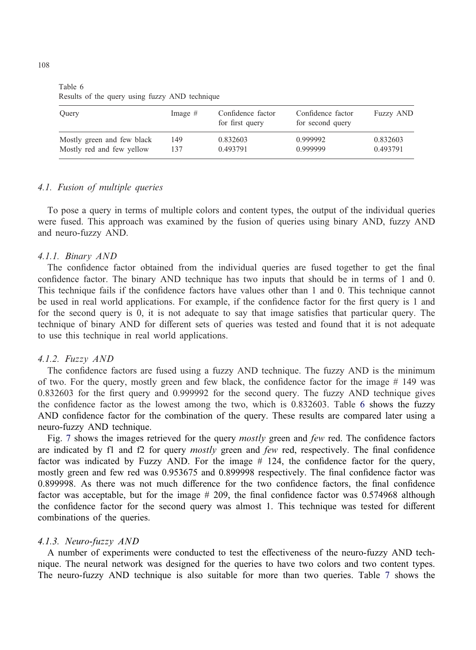| Query                      | Image $#$ | Confidence factor<br>for first query | Confidence factor<br>for second query | <b>Fuzzy AND</b> |
|----------------------------|-----------|--------------------------------------|---------------------------------------|------------------|
| Mostly green and few black | 149       | 0.832603                             | 0.999992                              | 0.832603         |
| Mostly red and few yellow  | 137       | 0.493791                             | 0.999999                              | 0.493791         |

Table 6 Results of the query using fuzzy AND technique

# *4.1. Fusion of multiple queries*

To pose a query in terms of multiple colors and content types, the output of the individual queries were fused. This approach was examined by the fusion of queries using binary AND, fuzzy AND and neuro-fuzzy AND.

## *4.1.1. Binary AND*

The confidence factor obtained from the individual queries are fused together to get the final condence factor. The binary AND technique has two inputs that should be in terms of 1 and 0. This technique fails if the confidence factors have values other than 1 and 0. This technique cannot be used in real world applications. For example, if the confidence factor for the first query is 1 and for the second query is 0, it is not adequate to say that image satisfies that particular query. The technique of binary AND for different sets of queries was tested and found that it is not adequate to use this technique in real world applications.

## *4.1.2. Fuzzy AND*

The condence factors are fused using a fuzzy AND technique. The fuzzy AND is the minimum of two. For the query, mostly green and few black, the confidence factor for the image  $# 149$  was  $0.832603$  for the first query and  $0.999992$  for the second query. The fuzzy AND technique gives the confidence factor as the lowest among the two, which is 0.832603. Table 6 shows the fuzzy AND confidence factor for the combination of the query. These results are compared later using a neuro-fuzzy AND technique.

Fig. 7 shows the images retrieved for the query *mostly* green and *few* red. The confidence factors are indicated by f1 and f2 for query *mostly* green and *few* red, respectively. The final confidence factor was indicated by Fuzzy AND. For the image  $# 124$ , the confidence factor for the query, mostly green and few red was 0.953675 and 0.899998 respectively. The final confidence factor was 0.899998. As there was not much difference for the two confidence factors, the final confidence factor was acceptable, but for the image  $#209$ , the final confidence factor was 0.574968 although the confidence factor for the second query was almost 1. This technique was tested for different combinations of the queries.

## *4.1.3. Neuro-fuzzy AND*

A number of experiments were conducted to test the effectiveness of the neuro-fuzzy AND technique. The neural network was designed for the queries to have two colors and two content types. The neuro-fuzzy AND technique is also suitable for more than two queries. Table 7 shows the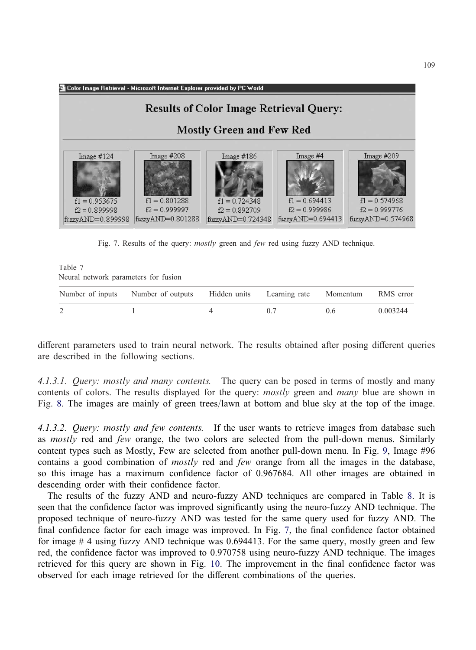

Fig. 7. Results of the query: *mostly* green and *few* red using fuzzy AND technique.

| Table 7<br>Neural network parameters for fusion |                                    |  |                            |          |           |  |  |  |
|-------------------------------------------------|------------------------------------|--|----------------------------|----------|-----------|--|--|--|
|                                                 | Number of inputs Number of outputs |  | Hidden units Learning rate | Momentum | RMS error |  |  |  |
|                                                 |                                    |  | 07                         | 0.6      | 0.003244  |  |  |  |

different parameters used to train neural network. The results obtained after posing different queries are described in the following sections.

4.1.3.1. *Query: mostly and many contents*. The query can be posed in terms of mostly and many contents of colors. The results displayed for the query: *mostly* green and *many* blue are shown in Fig. 8. The images are mainly of green trees/lawn at bottom and blue sky at the top of the image.

*4.1.3.2. Query: mostly and few contents.* Ifthe user wants to retrieve images from database such as *mostly* red and *few* orange, the two colors are selected from the pull-down menus. Similarly content types such as Mostly, Few are selected from another pull-down menu. In Fig. 9, Image #96 contains a good combination of *mostly* red and *few* orange from all the images in the database, so this image has a maximum confidence factor of 0.967684. All other images are obtained in descending order with their confidence factor.

The results of the fuzzy AND and neuro-fuzzy AND techniques are compared in Table 8. It is seen that the confidence factor was improved significantly using the neuro-fuzzy AND technique. The proposed technique of neuro-fuzzy AND was tested for the same query used for fuzzy AND. The final confidence factor for each image was improved. In Fig. 7, the final confidence factor obtained for image # 4 using fuzzy AND technique was 0.694413. For the same query, mostly green and few red, the confidence factor was improved to 0.970758 using neuro-fuzzy AND technique. The images retrieved for this query are shown in Fig. 10. The improvement in the final confidence factor was observed for each image retrieved for the different combinations of the queries.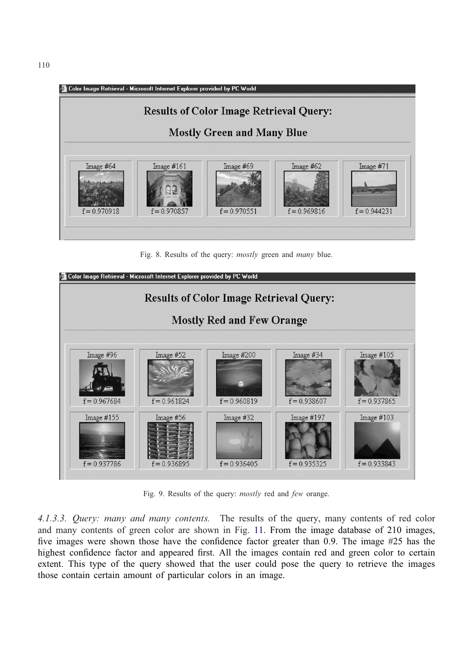![](_page_11_Figure_0.jpeg)

Fig. 8. Results of the query: *mostly* green and *many* blue.

![](_page_11_Figure_2.jpeg)

Fig. 9. Results of the query: *mostly* red and *few* orange.

4.1.3.3. Query: many and many contents. The results of the query, many contents of red color and many contents of green color are shown in Fig. 11. From the image database of 210 images, five images were shown those have the confidence factor greater than 0.9. The image  $#25$  has the highest confidence factor and appeared first. All the images contain red and green color to certain extent. This type of the query showed that the user could pose the query to retrieve the images those contain certain amount of particular colors in an image.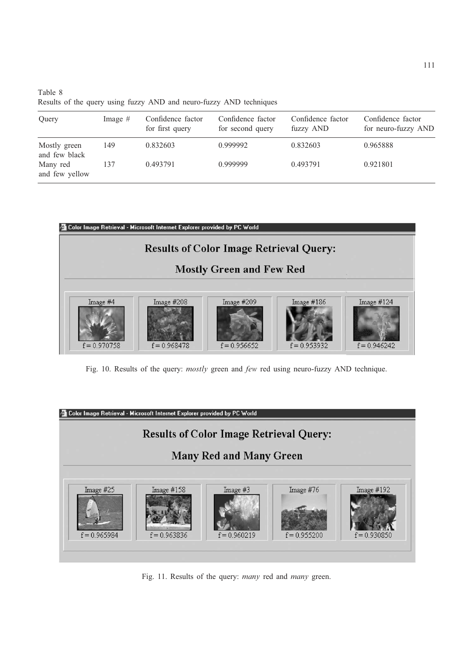| Table 8 |  |  |  |                                                                     |  |  |
|---------|--|--|--|---------------------------------------------------------------------|--|--|
|         |  |  |  | Results of the query using fuzzy AND and neuro-fuzzy AND techniques |  |  |

| Query                         | Image $#$ | Confidence factor<br>for first query | Confidence factor<br>for second query | Confidence factor<br>fuzzy AND | Confidence factor<br>for neuro-fuzzy AND |
|-------------------------------|-----------|--------------------------------------|---------------------------------------|--------------------------------|------------------------------------------|
| Mostly green<br>and few black | 149       | 0.832603                             | 0.999992                              | 0.832603                       | 0.965888                                 |
| Many red<br>and few yellow    | 137       | 0.493791                             | 0.999999                              | 0.493791                       | 0.921801                                 |

![](_page_12_Figure_2.jpeg)

Fig. 10. Results of the query: *mostly* green and *few* red using neuro-fuzzy AND technique.

![](_page_12_Figure_4.jpeg)

Fig. 11. Results of the query: *many* red and *many* green.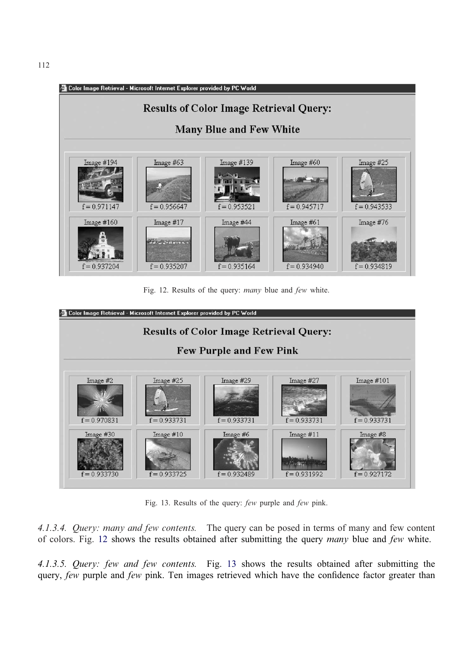![](_page_13_Figure_0.jpeg)

Fig. 12. Results of the query: *many* blue and *few* white.

![](_page_13_Figure_2.jpeg)

Fig. 13. Results of the query: *few* purple and *few* pink.

4.1.3.4. Query: many and few contents. The query can be posed in terms of many and few content of colors. Fig. 12 shows the results obtained after submitting the query *many* blue and *few* white.

*4.1.3.5. Query: few and few contents.* Fig. 13 shows the results obtained after submitting the query, *few* purple and *few* pink. Ten images retrieved which have the confidence factor greater than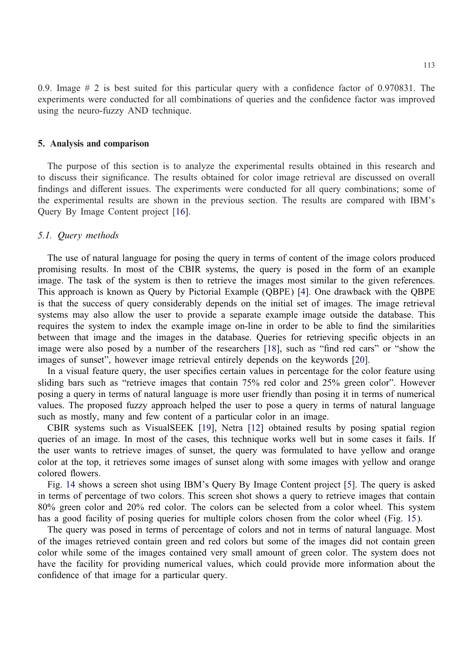0.9. Image  $\#$  2 is best suited for this particular query with a confidence factor of 0.970831. The experiments were conducted for all combinations of queries and the condence factor was improved using the neuro-fuzzy AND technique.

#### 5. Analysis and comparison

The purpose of this section is to analyze the experimental results obtained in this research and to discuss their signicance. The results obtained for color image retrieval are discussed on overall findings and different issues. The experiments were conducted for all query combinations; some of the experimental results are shown in the previous section. The results are compared with IBM's Query By Image Content project [16].

## *5.1. Query methods*

The use of natural language for posing the query in terms of content of the image colors produced promising results. In most of the CBIR systems, the query is posed in the form of an example image. The task of the system is then to retrieve the images most similar to the given references. This approach is known as Query by Pictorial Example (QBPE) [4]. One drawback with the QBPE is that the success of query considerably depends on the initial set of images. The image retrieval systems may also allow the user to provide a separate example image outside the database. This requires the system to index the example image on-line in order to be able to find the similarities between that image and the images in the database. Queries for retrieving specific objects in an image were also posed by a number of the researchers [18], such as "find red cars" or "show the images of sunset", however image retrieval entirely depends on the keywords [20].

In a visual feature query, the user species certain values in percentage for the color feature using sliding bars such as "retrieve images that contain 75% red color and 25% green color". However posing a query in terms ofnatural language is more user friendly than posing it in terms ofnumerical values. The proposed fuzzy approach helped the user to pose a query in terms of natural language such as mostly, many and few content of a particular color in an image.

CBIR systems such as VisualSEEK [19], Netra [12] obtained results by posing spatial region queries of an image. In most of the cases, this technique works well but in some cases it fails. If the user wants to retrieve images of sunset, the query was formulated to have yellow and orange color at the top, it retrieves some images of sunset along with some images with yellow and orange colored flowers.

Fig. 14 shows a screen shot using IBM's Query By Image Content project [5]. The query is asked in terms of percentage of two colors. This screen shot shows a query to retrieve images that contain 80% green color and 20% red color. The colors can be selected from a color wheel. This system has a good facility of posing queries for multiple colors chosen from the color wheel (Fig. 15).

The query was posed in terms of percentage of colors and not in terms of natural language. Most of the images retrieved contain green and red colors but some of the images did not contain green color while some of the images contained very small amount of green color. The system does not have the facility for providing numerical values, which could provide more information about the confidence of that image for a particular query.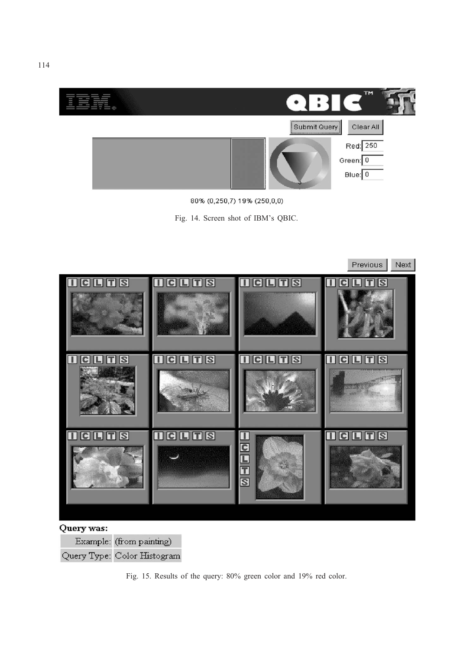![](_page_15_Figure_0.jpeg)

80% (0,250,7) 19% (250,0,0)

Fig. 14. Screen shot of IBM's QBIC.

![](_page_15_Figure_3.jpeg)

Example: (from painting) Query Type: Color Histogram

![](_page_15_Figure_5.jpeg)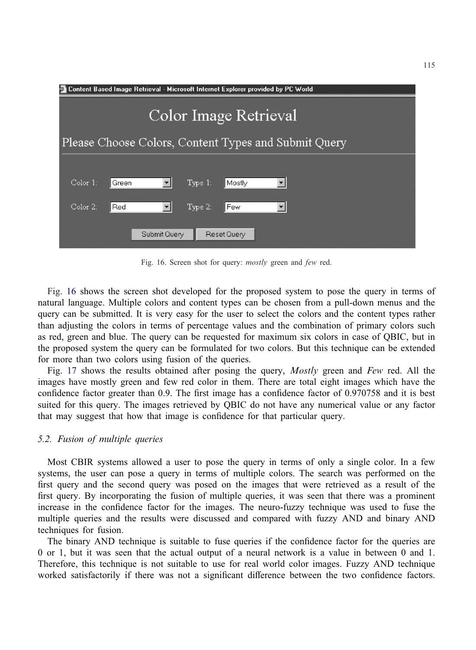|                                  | Content Based Image Retrieval - Microsoft Internet Explorer provided by PC World |                       |               |  |  |  |
|----------------------------------|----------------------------------------------------------------------------------|-----------------------|---------------|--|--|--|
| Color Image Retrieval            |                                                                                  |                       |               |  |  |  |
|                                  | Please Choose Colors, Content Types and Submit Query                             |                       |               |  |  |  |
| Color 1:<br>Color 2 <sup>2</sup> | $\overline{\phantom{0}}$<br>Green<br>$\overline{\phantom{a}}$<br>Red             | Type $1$ :<br>Type 2: | Mostly<br>Few |  |  |  |
| Reset Query<br>Submit Query      |                                                                                  |                       |               |  |  |  |

Fig. 16. Screen shot for query: *mostly* green and *few* red.

Fig. 16 shows the screen shot developed for the proposed system to pose the query in terms of natural language. Multiple colors and content types can be chosen from a pull-down menus and the query can be submitted. It is very easy for the user to select the colors and the content types rather than adjusting the colors in terms of percentage values and the combination of primary colors such as red, green and blue. The query can be requested for maximum six colors in case of QBIC, but in the proposed system the query can be formulated for two colors. But this technique can be extended for more than two colors using fusion of the queries.

Fig. 17 shows the results obtained after posing the query, *Mostly* green and *Few* red. All the images have mostly green and few red color in them. There are total eight images which have the confidence factor greater than  $0.9$ . The first image has a confidence factor of  $0.970758$  and it is best suited for this query. The images retrieved by QBIC do not have any numerical value or any factor that may suggest that how that image is condence for that particular query.

# *5.2. Fusion of multiple queries*

Most CBIR systems allowed a user to pose the query in terms ofonly a single color. In a few systems, the user can pose a query in terms of multiple colors. The search was performed on the first query and the second query was posed on the images that were retrieved as a result of the first query. By incorporating the fusion of multiple queries, it was seen that there was a prominent increase in the condence factor for the images. The neuro-fuzzy technique was used to fuse the multiple queries and the results were discussed and compared with fuzzy AND and binary AND techniques for fusion.

The binary AND technique is suitable to fuse queries if the condence factor for the queries are 0 or 1, but it was seen that the actual output ofa neural network is a value in between 0 and 1. Therefore, this technique is not suitable to use for real world color images. Fuzzy AND technique worked satisfactorily if there was not a significant difference between the two confidence factors.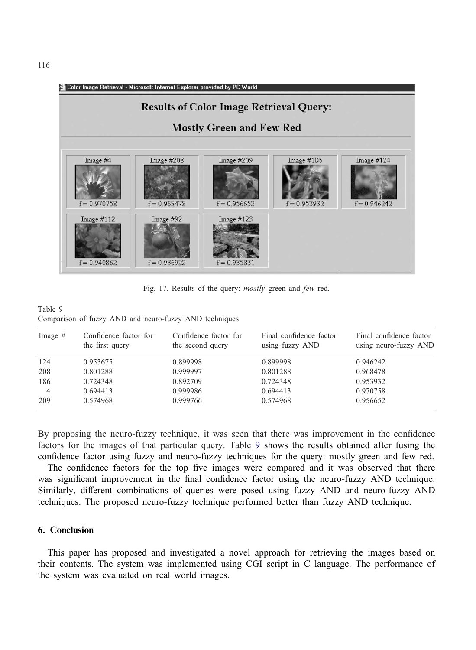![](_page_17_Figure_0.jpeg)

Fig. 17. Results of the query: *mostly* green and *few* red.

#### Table 9 Comparison of fuzzy AND and neuro-fuzzy AND techniques

| Image $#$ | Confidence factor for<br>the first query | Confidence factor for<br>the second query | Final confidence factor<br>using fuzzy AND | Final confidence factor<br>using neuro-fuzzy AND |
|-----------|------------------------------------------|-------------------------------------------|--------------------------------------------|--------------------------------------------------|
| 124       | 0.953675                                 | 0.899998                                  | 0.899998                                   | 0.946242                                         |
| 208       | 0.801288                                 | 0.999997                                  | 0.801288                                   | 0.968478                                         |
| 186       | 0.724348                                 | 0.892709                                  | 0.724348                                   | 0.953932                                         |
| 4         | 0.694413                                 | 0.999986                                  | 0.694413                                   | 0.970758                                         |
| 209       | 0.574968                                 | 0.999766                                  | 0.574968                                   | 0.956652                                         |

By proposing the neuro-fuzzy technique, it was seen that there was improvement in the confidence factors for the images of that particular query. Table 9 shows the results obtained after fusing the condence factor using fuzzy and neuro-fuzzy techniques for the query: mostly green and few red.

The confidence factors for the top five images were compared and it was observed that there was significant improvement in the final confidence factor using the neuro-fuzzy AND technique. Similarly, different combinations of queries were posed using fuzzy AND and neuro-fuzzy AND techniques. The proposed neuro-fuzzy technique performed better than fuzzy AND technique.

# 6. Conclusion

This paper has proposed and investigated a novel approach for retrieving the images based on their contents. The system was implemented using CGI script in C language. The performance of the system was evaluated on real world images.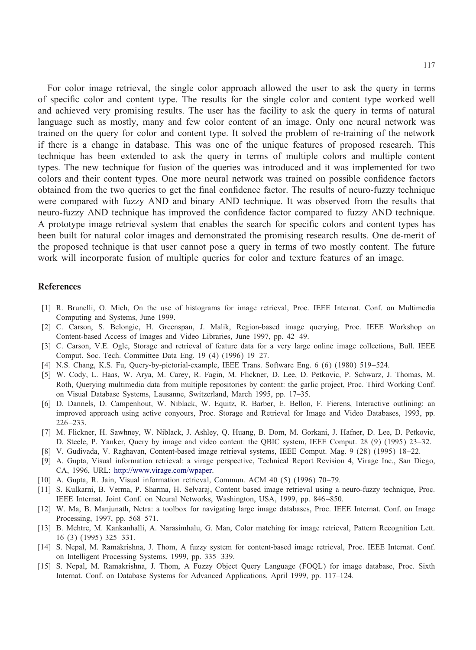For color image retrieval, the single color approach allowed the user to ask the query in terms of specific color and content type. The results for the single color and content type worked well and achieved very promising results. The user has the facility to ask the query in terms of natural language such as mostly, many and few color content of an image. Only one neural network was trained on the query for color and content type. It solved the problem of re-training of the network if there is a change in database. This was one of the unique features of proposed research. This technique has been extended to ask the query in terms of multiple colors and multiple content types. The new technique for fusion of the queries was introduced and it was implemented for two colors and their content types. One more neural network was trained on possible condence factors obtained from the two queries to get the final confidence factor. The results of neuro-fuzzy technique were compared with fuzzy AND and binary AND technique. It was observed from the results that neuro-fuzzy AND technique has improved the confidence factor compared to fuzzy AND technique. A prototype image retrieval system that enables the search for specic colors and content types has been built for natural color images and demonstrated the promising research results. One de-merit of the proposed technique is that user cannot pose a query in terms of two mostly content. The future work will incorporate fusion of multiple queries for color and texture features of an image.

## References

- [1] R. Brunelli, O. Mich, On the use of histograms for image retrieval, Proc. IEEE Internat. Conf. on Multimedia Computing and Systems, June 1999.
- [2] C. Carson, S. Belongie, H. Greenspan, J. Malik, Region-based image querying, Proc. IEEE Workshop on Content-based Access of Images and Video Libraries, June 1997, pp. 42-49.
- [3] C. Carson, V.E. Ogle, Storage and retrieval of feature data for a very large online image collections, Bull. IEEE Comput. Soc. Tech. Committee Data Eng. 19 (4) (1996) 19–27.
- [4] N.S. Chang, K.S. Fu, Query-by-pictorial-example, IEEE Trans. Software Eng. 6 (6) (1980) 519–524.
- [5] W. Cody, L. Haas, W. Arya, M. Carey, R. Fagin, M. Flickner, D. Lee, D. Petkovic, P. Schwarz, J. Thomas, M. Roth, Querying multimedia data from multiple repositories by content: the garlic project, Proc. Third Working Conf. on Visual Database Systems, Lausanne, Switzerland, March 1995, pp. 17–35.
- [6] D. Dannels, D. Campenhout, W. Niblack, W. Equitz, R. Barber, E. Bellon, F. Fierens, Interactive outlining: an improved approach using active conyours, Proc. Storage and Retrieval for Image and Video Databases, 1993, pp. 226 –233.
- [7] M. Flickner, H. Sawhney, W. Niblack, J. Ashley, Q. Huang, B. Dom, M. Gorkani, J. Hafner, D. Lee, D. Petkovic, D. Steele, P. Yanker, Query by image and video content: the QBIC system, IEEE Comput. 28 (9) (1995) 23–32.
- [8] V. Gudivada, V. Raghavan, Content-based image retrieval systems, IEEE Comput. Mag. 9 (28) (1995) 18–22.
- [9] A. Gupta, Visual information retrieval: a virage perspective, Technical Report Revision 4, Virage Inc., San Diego, CA, 1996, URL: http://www.virage.com/wpaper.
- [10] A. Gupta, R. Jain, Visual information retrieval, Commun. ACM 40 (5) (1996) 70–79.
- [11] S. Kulkarni, B. Verma, P. Sharma, H. Selvaraj, Content based image retrieval using a neuro-fuzzy technique, Proc. IEEE Internat. Joint Conf. on Neural Networks, Washington, USA, 1999, pp. 846 –850.
- [12] W. Ma, B. Manjunath, Netra: a toolbox for navigating large image databases, Proc. IEEE Internat. Conf. on Image Processing, 1997, pp. 568–571.
- [13] B. Mehtre, M. Kankanhalli, A. Narasimhalu, G. Man, Color matching for image retrieval, Pattern Recognition Lett. 16 (3) (1995) 325–331.
- [14] S. Nepal, M. Ramakrishna, J. Thom, A fuzzy system for content-based image retrieval, Proc. IEEE Internat. Conf. on Intelligent Processing Systems, 1999, pp. 335 –339.
- [15] S. Nepal, M. Ramakrishna, J. Thom, A Fuzzy Object Query Language (FOQL) for image database, Proc. Sixth Internat. Conf. on Database Systems for Advanced Applications, April 1999, pp. 117–124.